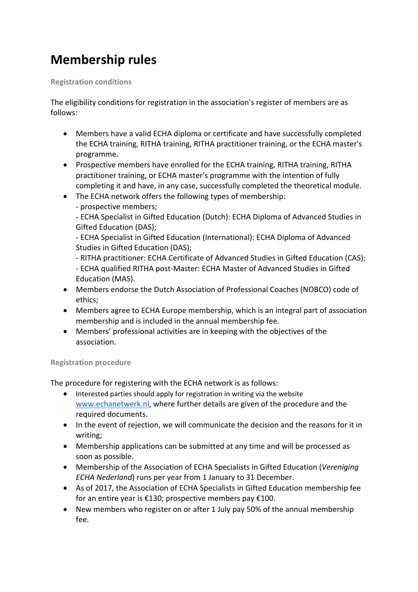## **Membership rules**

**Registration conditions** 

The eligibility conditions for registration in the association's register of members are as follows:

- Members have a valid ECHA diploma or certificate and have successfully completed the ECHA training, RITHA training, RITHA practitioner training, or the ECHA master's programme.
- Prospective members have enrolled for the ECHA training, RITHA training, RITHA practitioner training, or ECHA master's programme with the intention of fully completing it and have, in any case, successfully completed the theoretical module.
- The ECHA network offers the following types of membership:
	- prospective members;

- ECHA Specialist in Gifted Education (Dutch): ECHA Diploma of Advanced Studies in Gifted Education (DAS);

- ECHA Specialist in Gifted Education (International): ECHA Diploma of Advanced Studies in Gifted Education (DAS);

- RITHA practitioner: ECHA Certificate of Advanced Studies in Gifted Education (CAS);

- ECHA qualified RITHA post-Master: ECHA Master of Advanced Studies in Gifted Education (MAS).
- Members endorse the Dutch Association of Professional Coaches (NOBCO) code of ethics;
- Members agree to ECHA Europe membership, which is an integral part of association membership and is included in the annual membership fee.
- Members' professional activities are in keeping with the objectives of the association.

## **Registration procedure**

The procedure for registering with the ECHA network is as follows:

- Interested parties should apply for registration in writing via the website www.echanetwerk.nl, where further details are given of the procedure and the required documents.
- In the event of rejection, we will communicate the decision and the reasons for it in writing;
- Membership applications can be submitted at any time and will be processed as soon as possible.
- Membership of the Association of ECHA Specialists in Gifted Education (*Vereniging ECHA Nederland*) runs per year from 1 January to 31 December.
- As of 2017, the Association of ECHA Specialists in Gifted Education membership fee for an entire year is €130; prospective members pay €100.
- New members who register on or after 1 July pay 50% of the annual membership fee.